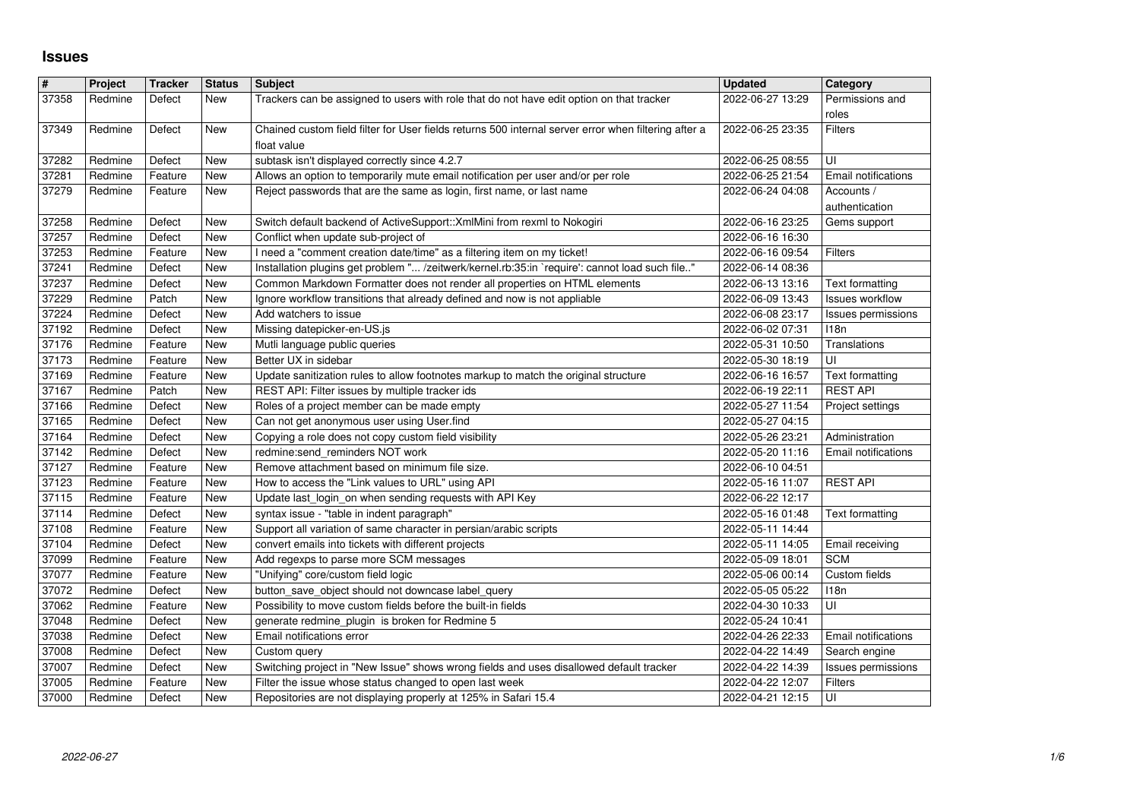## **Issues**

| #              | Project            | <b>Tracker</b>    | <b>Status</b> | <b>Subject</b>                                                                                                                         | <b>Updated</b>                       | Category                           |
|----------------|--------------------|-------------------|---------------|----------------------------------------------------------------------------------------------------------------------------------------|--------------------------------------|------------------------------------|
| 37358          | Redmine            | Defect            | New           | Trackers can be assigned to users with role that do not have edit option on that tracker                                               | 2022-06-27 13:29                     | Permissions and                    |
|                |                    |                   |               |                                                                                                                                        |                                      | roles                              |
| 37349          | Redmine            | Defect            | New           | Chained custom field filter for User fields returns 500 internal server error when filtering after a                                   | 2022-06-25 23:35                     | Filters                            |
|                |                    |                   |               | float value                                                                                                                            |                                      |                                    |
| 37282          | Redmine            | Defect            | New           | subtask isn't displayed correctly since 4.2.7                                                                                          | 2022-06-25 08:55                     | UI                                 |
| 37281<br>37279 | Redmine            | Feature           | New           | Allows an option to temporarily mute email notification per user and/or per role                                                       | 2022-06-25 21:54                     | Email notifications                |
|                | Redmine            | Feature           | New           | Reject passwords that are the same as login, first name, or last name                                                                  | 2022-06-24 04:08                     | Accounts /<br>authentication       |
| 37258          | Redmine            | Defect            | <b>New</b>    | Switch default backend of ActiveSupport:: XmlMini from rexml to Nokogiri                                                               | 2022-06-16 23:25                     | Gems support                       |
| 37257          | Redmine            | Defect            | New           | Conflict when update sub-project of                                                                                                    | 2022-06-16 16:30                     |                                    |
| 37253          | Redmine            | Feature           | New           | I need a "comment creation date/time" as a filtering item on my ticket!                                                                | 2022-06-16 09:54                     | <b>Filters</b>                     |
| 37241          | Redmine            | Defect            | <b>New</b>    | Installation plugins get problem " /zeitwerk/kernel.rb:35:in `require': cannot load such file"                                         | 2022-06-14 08:36                     |                                    |
| 37237          | Redmine            | Defect            | New           | Common Markdown Formatter does not render all properties on HTML elements                                                              | 2022-06-13 13:16                     | Text formatting                    |
| 37229          | Redmine            | Patch             | <b>New</b>    | Ignore workflow transitions that already defined and now is not appliable                                                              | 2022-06-09 13:43                     | <b>Issues workflow</b>             |
| 37224          | Redmine            | Defect            | New           | Add watchers to issue                                                                                                                  | 2022-06-08 23:17                     | Issues permissions                 |
| 37192          | Redmine            | Defect            | New           | Missing datepicker-en-US.js                                                                                                            | 2022-06-02 07:31                     | 118n                               |
| 37176          | Redmine            | Feature           | New           | Mutli language public queries                                                                                                          | 2022-05-31 10:50                     | Translations                       |
| 37173          | Redmine            | Feature           | New           | Better UX in sidebar                                                                                                                   | 2022-05-30 18:19                     | UI                                 |
| 37169<br>37167 | Redmine<br>Redmine | Feature<br>Patch  | New<br>New    | Update sanitization rules to allow footnotes markup to match the original structure<br>REST API: Filter issues by multiple tracker ids | 2022-06-16 16:57<br>2022-06-19 22:11 | Text formatting<br><b>REST API</b> |
| 37166          | Redmine            | Defect            | New           | Roles of a project member can be made empty                                                                                            | 2022-05-27 11:54                     | Project settings                   |
| 37165          | Redmine            | Defect            | <b>New</b>    | Can not get anonymous user using User.find                                                                                             | 2022-05-27 04:15                     |                                    |
| 37164          | Redmine            | Defect            | New           | Copying a role does not copy custom field visibility                                                                                   | 2022-05-26 23:21                     | Administration                     |
| 37142          | Redmine            | Defect            | New           | redmine:send_reminders NOT work                                                                                                        | 2022-05-20 11:16                     | Email notifications                |
| 37127          | Redmine            | Feature           | New           | Remove attachment based on minimum file size.                                                                                          | 2022-06-10 04:51                     |                                    |
| 37123          | Redmine            | Feature           | New           | How to access the "Link values to URL" using API                                                                                       | 2022-05-16 11:07                     | <b>REST API</b>                    |
| 37115          | Redmine            | Feature           | New           | Update last_login_on when sending requests with API Key                                                                                | 2022-06-22 12:17                     |                                    |
| 37114          | Redmine            | Defect            | New           | syntax issue - "table in indent paragraph"                                                                                             | 2022-05-16 01:48                     | Text formatting                    |
| 37108          | Redmine            | Feature           | New           | Support all variation of same character in persian/arabic scripts                                                                      | 2022-05-11 14:44                     |                                    |
| 37104          | Redmine            | Defect            | <b>New</b>    | convert emails into tickets with different projects                                                                                    | 2022-05-11 14:05                     | Email receiving                    |
| 37099          | Redmine            | Feature           | <b>New</b>    | Add regexps to parse more SCM messages                                                                                                 | 2022-05-09 18:01                     | <b>SCM</b>                         |
| 37077<br>37072 | Redmine            | Feature<br>Defect | New<br>New    | "Unifying" core/custom field logic<br>button_save_object should not downcase label_query                                               | 2022-05-06 00:14<br>2022-05-05 05:22 | Custom fields<br>118n              |
| 37062          | Redmine<br>Redmine | Feature           | New           | Possibility to move custom fields before the built-in fields                                                                           | 2022-04-30 10:33                     | UI                                 |
| 37048          | Redmine            | Defect            | New           | generate redmine_plugin is broken for Redmine 5                                                                                        | 2022-05-24 10:41                     |                                    |
| 37038          | Redmine            | Defect            | New           | Email notifications error                                                                                                              | 2022-04-26 22:33                     | Email notifications                |
| 37008          | Redmine            | Defect            | New           | Custom query                                                                                                                           | 2022-04-22 14:49                     | Search engine                      |
| 37007          | Redmine            | Defect            | New           | Switching project in "New Issue" shows wrong fields and uses disallowed default tracker                                                | 2022-04-22 14:39                     | Issues permissions                 |
| 37005          | Redmine            | Feature           | New           | Filter the issue whose status changed to open last week                                                                                | 2022-04-22 12:07                     | Filters                            |
| 37000          | Redmine            | Defect            | New           | Repositories are not displaying properly at 125% in Safari 15.4                                                                        | 2022-04-21 12:15                     | UI                                 |
| 2022-06-27     |                    |                   |               |                                                                                                                                        |                                      |                                    |
|                |                    |                   |               |                                                                                                                                        |                                      |                                    |
|                |                    |                   |               |                                                                                                                                        |                                      |                                    |
|                |                    |                   |               |                                                                                                                                        |                                      |                                    |
|                |                    |                   |               |                                                                                                                                        |                                      |                                    |
|                |                    |                   |               |                                                                                                                                        |                                      |                                    |
|                |                    |                   |               |                                                                                                                                        |                                      |                                    |
|                |                    |                   |               |                                                                                                                                        |                                      |                                    |
|                |                    |                   |               |                                                                                                                                        |                                      |                                    |
|                |                    |                   |               |                                                                                                                                        |                                      |                                    |
|                |                    |                   |               |                                                                                                                                        |                                      |                                    |
|                |                    |                   |               |                                                                                                                                        |                                      |                                    |
|                |                    |                   |               |                                                                                                                                        |                                      |                                    |
|                |                    |                   |               |                                                                                                                                        |                                      |                                    |
|                |                    |                   |               |                                                                                                                                        |                                      |                                    |
|                |                    |                   |               |                                                                                                                                        |                                      |                                    |
|                |                    |                   |               |                                                                                                                                        |                                      |                                    |
|                |                    |                   |               |                                                                                                                                        |                                      |                                    |
|                |                    |                   |               |                                                                                                                                        |                                      |                                    |
|                |                    |                   |               |                                                                                                                                        |                                      |                                    |
|                |                    |                   |               |                                                                                                                                        |                                      |                                    |
|                |                    |                   |               |                                                                                                                                        |                                      |                                    |
|                |                    |                   |               |                                                                                                                                        |                                      |                                    |
|                |                    |                   |               |                                                                                                                                        |                                      |                                    |
|                |                    |                   |               |                                                                                                                                        |                                      |                                    |
|                |                    |                   |               |                                                                                                                                        |                                      |                                    |
|                |                    |                   |               |                                                                                                                                        |                                      |                                    |
|                |                    |                   |               |                                                                                                                                        |                                      |                                    |
|                |                    |                   |               |                                                                                                                                        |                                      |                                    |
|                |                    |                   |               |                                                                                                                                        |                                      |                                    |
|                |                    |                   |               |                                                                                                                                        |                                      |                                    |
|                |                    |                   |               |                                                                                                                                        |                                      |                                    |
|                |                    |                   |               |                                                                                                                                        |                                      |                                    |
|                |                    |                   |               |                                                                                                                                        |                                      |                                    |
|                |                    |                   |               |                                                                                                                                        |                                      |                                    |
|                |                    |                   |               |                                                                                                                                        |                                      |                                    |
|                |                    |                   |               |                                                                                                                                        |                                      |                                    |
|                |                    |                   |               |                                                                                                                                        |                                      |                                    |
|                |                    |                   |               |                                                                                                                                        |                                      |                                    |
|                |                    |                   |               |                                                                                                                                        |                                      |                                    |
|                |                    |                   |               |                                                                                                                                        |                                      |                                    |
|                |                    |                   |               |                                                                                                                                        |                                      |                                    |
|                |                    |                   |               |                                                                                                                                        |                                      |                                    |
|                |                    |                   |               |                                                                                                                                        |                                      |                                    |
|                |                    |                   |               |                                                                                                                                        |                                      |                                    |
|                |                    |                   |               |                                                                                                                                        |                                      |                                    |
|                |                    |                   |               |                                                                                                                                        |                                      |                                    |
|                |                    |                   |               |                                                                                                                                        |                                      |                                    |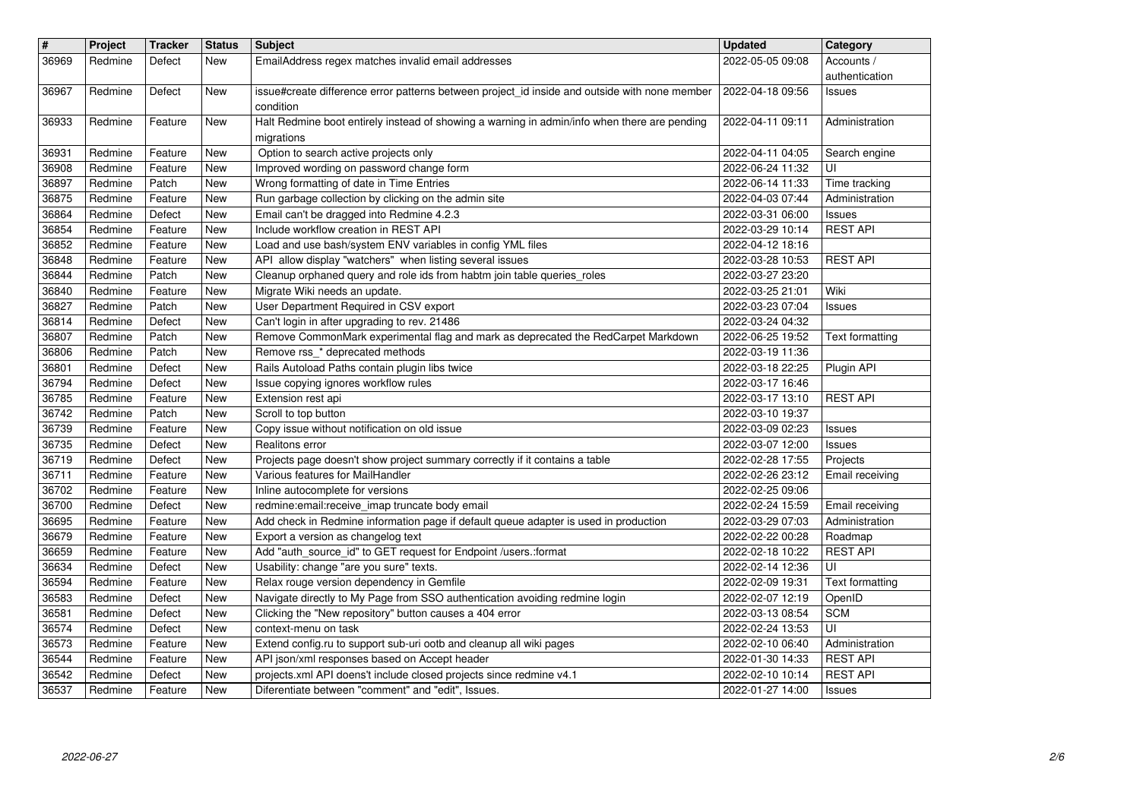| $\pmb{\#}$     | Project            | <b>Tracker</b>     | <b>Status</b>     | <b>Subject</b>                                                                                                                         | <b>Updated</b>                       | Category                          |
|----------------|--------------------|--------------------|-------------------|----------------------------------------------------------------------------------------------------------------------------------------|--------------------------------------|-----------------------------------|
| 36969          | Redmine            | Defect             | New               | EmailAddress regex matches invalid email addresses                                                                                     | 2022-05-05 09:08                     | Accounts /<br>authentication      |
| 36967          | Redmine            | Defect             | New               | issue#create difference error patterns between project_id inside and outside with none member                                          | 2022-04-18 09:56                     | <b>Issues</b>                     |
| 36933          | Redmine            | Feature            | New               | condition<br>Halt Redmine boot entirely instead of showing a warning in admin/info when there are pending                              | 2022-04-11 09:11                     | Administration                    |
|                |                    |                    |                   | migrations                                                                                                                             |                                      |                                   |
| 36931          | Redmine            | Feature            | New               | Option to search active projects only                                                                                                  | 2022-04-11 04:05                     | Search engine                     |
| 36908<br>36897 | Redmine<br>Redmine | Feature<br>Patch   | New<br><b>New</b> | Improved wording on password change form<br>Wrong formatting of date in Time Entries                                                   | 2022-06-24 11:32<br>2022-06-14 11:33 | UI<br>Time tracking               |
| 36875          | Redmine            | Feature            | <b>New</b>        | Run garbage collection by clicking on the admin site                                                                                   | 2022-04-03 07:44                     | Administration                    |
| 36864<br>36854 | Redmine<br>Redmine | Defect<br>Feature  | New<br><b>New</b> | Email can't be dragged into Redmine 4.2.3<br>Include workflow creation in REST API                                                     | 2022-03-31 06:00<br>2022-03-29 10:14 | Issues<br><b>REST API</b>         |
| 36852          | Redmine            | Feature            | New               | Load and use bash/system ENV variables in config YML files                                                                             | 2022-04-12 18:16                     |                                   |
| 36848          | Redmine            | Feature            | <b>New</b>        | API allow display "watchers" when listing several issues                                                                               | 2022-03-28 10:53                     | <b>REST API</b>                   |
| 36844<br>36840 | Redmine<br>Redmine | Patch<br>Feature   | New<br>New        | Cleanup orphaned query and role ids from habtm join table queries_roles<br>Migrate Wiki needs an update.                               | 2022-03-27 23:20<br>2022-03-25 21:01 | Wiki                              |
| 36827          | Redmine            | Patch              | New               | User Department Required in CSV export                                                                                                 | 2022-03-23 07:04                     | Issues                            |
| 36814<br>36807 | Redmine<br>Redmine | Defect<br>Patch    | <b>New</b><br>New | Can't login in after upgrading to rev. 21486<br>Remove CommonMark experimental flag and mark as deprecated the RedCarpet Markdown      | 2022-03-24 04:32                     |                                   |
| 36806          | Redmine            | Patch              | New               | Remove rss_* deprecated methods                                                                                                        | 2022-06-25 19:52<br>2022-03-19 11:36 | Text formatting                   |
| 36801          | Redmine            | Defect             | <b>New</b>        | Rails Autoload Paths contain plugin libs twice                                                                                         | 2022-03-18 22:25                     | Plugin API                        |
| 36794<br>36785 | Redmine<br>Redmine | Defect<br>Feature  | <b>New</b><br>New | Issue copying ignores workflow rules<br>Extension rest api                                                                             | 2022-03-17 16:46<br>2022-03-17 13:10 | <b>REST API</b>                   |
| 36742          | Redmine            | Patch              | New               | Scroll to top button                                                                                                                   | 2022-03-10 19:37                     |                                   |
| 36739<br>36735 | Redmine<br>Redmine | Feature<br>Defect  | New<br>New        | Copy issue without notification on old issue<br>Realitons error                                                                        | 2022-03-09 02:23<br>2022-03-07 12:00 | Issues<br><b>Issues</b>           |
| 36719          | Redmine            | Defect             | <b>New</b>        | Projects page doesn't show project summary correctly if it contains a table                                                            | 2022-02-28 17:55                     | Projects                          |
| 36711          | Redmine            | Feature            | New               | Various features for MailHandler                                                                                                       | 2022-02-26 23:12                     | Email receiving                   |
| 36702<br>36700 | Redmine<br>Redmine | Feature<br>Defect  | <b>New</b><br>New | Inline autocomplete for versions<br>redmine:email:receive_imap truncate body email                                                     | 2022-02-25 09:06<br>2022-02-24 15:59 | Email receiving                   |
| 36695          | Redmine            | Feature            | <b>New</b>        | Add check in Redmine information page if default queue adapter is used in production                                                   | 2022-03-29 07:03                     | Administration                    |
| 36679<br>36659 | Redmine<br>Redmine | Feature<br>Feature | New<br>New        | Export a version as changelog text<br>Add "auth_source_id" to GET request for Endpoint /users.:format                                  | 2022-02-22 00:28<br>2022-02-18 10:22 | Roadmap<br><b>REST API</b>        |
| 36634          | Redmine            | Defect             | New               | Usability: change "are you sure" texts.                                                                                                | 2022-02-14 12:36                     | UI                                |
| 36594          | Redmine            | Feature            | New               | Relax rouge version dependency in Gemfile                                                                                              | 2022-02-09 19:31                     | <b>Text formatting</b>            |
| 36583<br>36581 | Redmine<br>Redmine | Defect<br>Defect   | New<br>New        | Navigate directly to My Page from SSO authentication avoiding redmine login<br>Clicking the "New repository" button causes a 404 error | 2022-02-07 12:19<br>2022-03-13 08:54 | OpenID<br><b>SCM</b>              |
| 36574          | Redmine            | Defect             | New               | context-menu on task                                                                                                                   | 2022-02-24 13:53                     | UI                                |
| 36573<br>36544 | Redmine<br>Redmine | Feature<br>Feature | New<br><b>New</b> | Extend config.ru to support sub-uri ootb and cleanup all wiki pages<br>API json/xml responses based on Accept header                   | 2022-02-10 06:40<br>2022-01-30 14:33 | Administration<br><b>REST API</b> |
| 36542          | Redmine            | Defect             | New               | projects.xml API doens't include closed projects since redmine v4.1                                                                    | 2022-02-10 10:14                     | <b>REST API</b>                   |
|                |                    |                    |                   |                                                                                                                                        |                                      |                                   |
|                |                    |                    |                   |                                                                                                                                        |                                      |                                   |
|                |                    |                    |                   |                                                                                                                                        |                                      |                                   |
|                |                    |                    |                   |                                                                                                                                        |                                      |                                   |
|                |                    |                    |                   |                                                                                                                                        |                                      |                                   |
|                |                    |                    |                   |                                                                                                                                        |                                      |                                   |
|                |                    |                    |                   |                                                                                                                                        |                                      |                                   |
|                |                    |                    |                   |                                                                                                                                        |                                      |                                   |
|                |                    |                    |                   |                                                                                                                                        |                                      |                                   |
|                |                    |                    |                   |                                                                                                                                        |                                      |                                   |
|                |                    |                    |                   |                                                                                                                                        |                                      |                                   |
|                |                    |                    |                   |                                                                                                                                        |                                      |                                   |
|                |                    |                    |                   |                                                                                                                                        |                                      |                                   |
|                |                    |                    |                   |                                                                                                                                        |                                      |                                   |
|                |                    |                    |                   |                                                                                                                                        |                                      |                                   |
|                |                    |                    |                   |                                                                                                                                        |                                      |                                   |
|                |                    |                    |                   |                                                                                                                                        |                                      |                                   |
|                |                    |                    |                   |                                                                                                                                        |                                      |                                   |
|                |                    |                    |                   |                                                                                                                                        |                                      |                                   |
|                |                    |                    |                   |                                                                                                                                        |                                      |                                   |
|                |                    |                    |                   |                                                                                                                                        |                                      |                                   |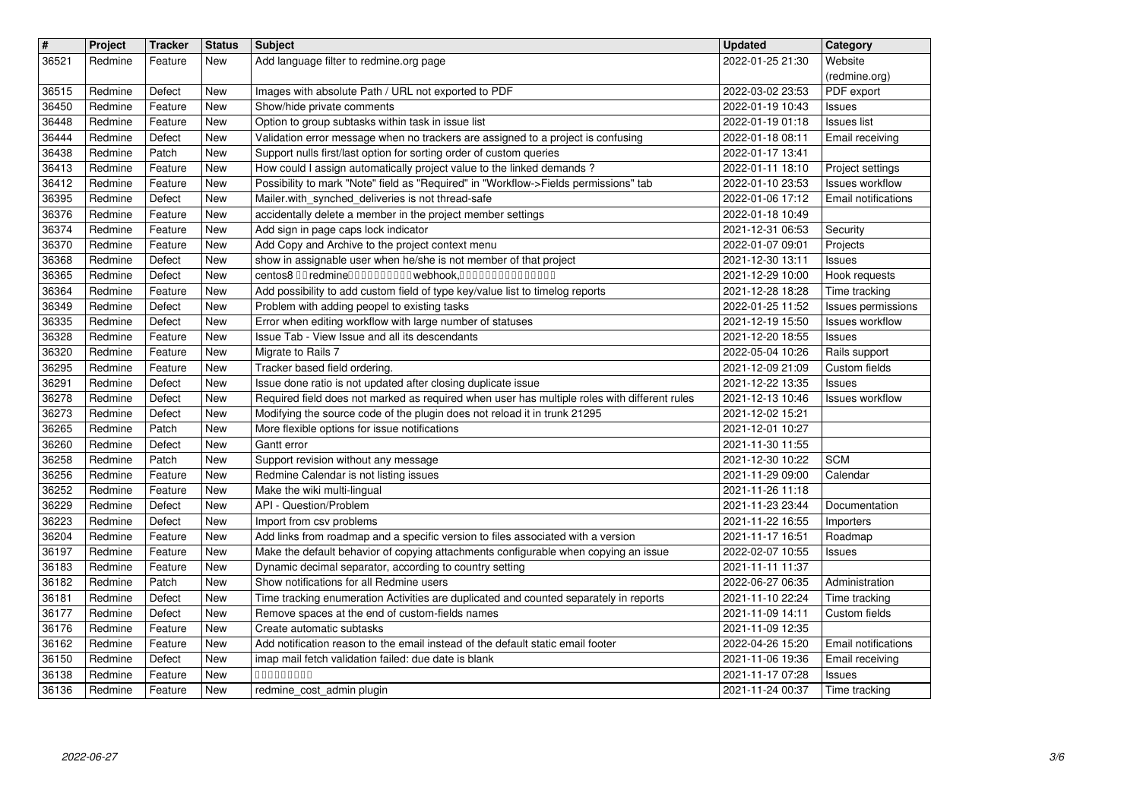| $\overline{\mathbf{r}}$<br>36521 | Project<br>Redmine | <b>Tracker</b><br>Feature | <b>Status</b><br>New | <b>Subject</b><br>Add language filter to redmine.org page                                                                                                     | <b>Updated</b><br>2022-01-25 21:30   | Category<br>Website                           |
|----------------------------------|--------------------|---------------------------|----------------------|---------------------------------------------------------------------------------------------------------------------------------------------------------------|--------------------------------------|-----------------------------------------------|
| 36515<br>36450                   | Redmine<br>Redmine | Defect<br>Feature         | New<br>New           | Images with absolute Path / URL not exported to PDF<br>Show/hide private comments                                                                             | 2022-03-02 23:53<br>2022-01-19 10:43 | (redmine.org)<br>PDF export                   |
| 36448                            | Redmine            | Feature                   | New                  | Option to group subtasks within task in issue list                                                                                                            | 2022-01-19 01:18                     | <b>Issues</b><br><b>Issues</b> list           |
| 36444<br>36438                   | Redmine<br>Redmine | Defect<br>Patch           | New<br>New           | Validation error message when no trackers are assigned to a project is confusing<br>Support nulls first/last option for sorting order of custom queries       | 2022-01-18 08:11<br>2022-01-17 13:41 | Email receiving                               |
| 36413                            | Redmine            | Feature                   | New                  | How could I assign automatically project value to the linked demands?                                                                                         | 2022-01-11 18:10                     | Project settings                              |
| 36412<br>36395                   | Redmine<br>Redmine | Feature<br>Defect         | New<br>New           | Possibility to mark "Note" field as "Required" in "Workflow->Fields permissions" tab<br>Mailer.with_synched_deliveries is not thread-safe                     | 2022-01-10 23:53<br>2022-01-06 17:12 | <b>Issues workflow</b><br>Email notifications |
| 36376<br>36374                   | Redmine<br>Redmine | Feature<br>Feature        | New<br>New           | accidentally delete a member in the project member settings<br>Add sign in page caps lock indicator                                                           | 2022-01-18 10:49<br>2021-12-31 06:53 | Security                                      |
| 36370                            | Redmine            | Feature                   | New                  | Add Copy and Archive to the project context menu                                                                                                              | 2022-01-07 09:01                     | Projects                                      |
| 36368<br>36365                   | Redmine<br>Redmine | Defect<br>Defect          | New<br>New           | show in assignable user when he/she is not member of that project<br>centos8 00 redmine0000000000 webhook,000000000000000                                     | 2021-12-30 13:11<br>2021-12-29 10:00 | <b>Issues</b><br>Hook requests                |
| 36364                            | Redmine            | Feature                   | New                  | Add possibility to add custom field of type key/value list to timelog reports                                                                                 | 2021-12-28 18:28                     | Time tracking                                 |
| 36349<br>36335                   | Redmine<br>Redmine | Defect<br>Defect          | New<br>New           | Problem with adding peopel to existing tasks<br>Error when editing workflow with large number of statuses                                                     | 2022-01-25 11:52<br>2021-12-19 15:50 | Issues permissions<br>Issues workflow         |
| 36328<br>36320                   | Redmine<br>Redmine | Feature<br>Feature        | New<br>New           | Issue Tab - View Issue and all its descendants<br>Migrate to Rails 7                                                                                          | 2021-12-20 18:55<br>2022-05-04 10:26 | <b>Issues</b><br>Rails support                |
| 36295                            | Redmine            | Feature                   | New                  | Tracker based field ordering.                                                                                                                                 | 2021-12-09 21:09                     | Custom fields                                 |
| 36291<br>36278                   | Redmine<br>Redmine | Defect<br>Defect          | New<br><b>New</b>    | Issue done ratio is not updated after closing duplicate issue<br>Required field does not marked as required when user has multiple roles with different rules | 2021-12-22 13:35<br>2021-12-13 10:46 | Issues<br><b>Issues workflow</b>              |
| 36273<br>36265                   | Redmine<br>Redmine | Defect<br>Patch           | New                  | Modifying the source code of the plugin does not reload it in trunk 21295<br>More flexible options for issue notifications                                    | 2021-12-02 15:21<br>2021-12-01 10:27 |                                               |
| 36260                            | Redmine            | Defect                    | New<br>New           | Gantt error                                                                                                                                                   | 2021-11-30 11:55                     |                                               |
| 36258<br>36256                   | Redmine<br>Redmine | Patch<br>Feature          | New<br>New           | Support revision without any message<br>Redmine Calendar is not listing issues                                                                                | 2021-12-30 10:22<br>2021-11-29 09:00 | <b>SCM</b><br>Calendar                        |
| 36252                            | Redmine            | Feature                   | New                  | Make the wiki multi-lingual                                                                                                                                   | 2021-11-26 11:18                     |                                               |
| 36229<br>36223                   | Redmine<br>Redmine | Defect<br>Defect          | New<br>New           | API - Question/Problem<br>Import from csv problems                                                                                                            | 2021-11-23 23:44<br>2021-11-22 16:55 | Documentation<br>Importers                    |
| 36204                            | Redmine            | Feature                   | New                  | Add links from roadmap and a specific version to files associated with a version                                                                              | 2021-11-17 16:51                     | Roadmap                                       |
| 36197<br>36183                   | Redmine<br>Redmine | Feature<br>Feature        | New<br>New           | Make the default behavior of copying attachments configurable when copying an issue<br>Dynamic decimal separator, according to country setting                | 2022-02-07 10:55<br>2021-11-11 11:37 | Issues                                        |
| 36182                            | Redmine            | Patch                     | New                  | Show notifications for all Redmine users                                                                                                                      | 2022-06-27 06:35                     | Administration<br>Time tracking               |
| 36181<br>36177                   | Redmine<br>Redmine | Defect<br>Defect          | New<br>New           | Time tracking enumeration Activities are duplicated and counted separately in reports<br>Remove spaces at the end of custom-fields names                      | 2021-11-10 22:24<br>2021-11-09 14:11 | Custom fields                                 |
| 36176<br>36162                   | Redmine<br>Redmine | Feature<br>Feature        | <b>New</b><br>New    | Create automatic subtasks<br>Add notification reason to the email instead of the default static email footer                                                  | 2021-11-09 12:35<br>2022-04-26 15:20 | <b>Email notifications</b>                    |
| 36150                            | Redmine            | Defect                    | <b>New</b>           | imap mail fetch validation failed: due date is blank                                                                                                          | 2021-11-06 19:36                     | Email receiving                               |
| 36138<br>36136                   | Redmine<br>Redmine | Feature<br>Feature        | New<br>New           | 00000000<br>redmine_cost_admin plugin                                                                                                                         | 2021-11-17 07:28<br>2021-11-24 00:37 | Issues<br>Time tracking                       |
|                                  |                    |                           |                      |                                                                                                                                                               |                                      |                                               |
|                                  |                    |                           |                      |                                                                                                                                                               |                                      |                                               |
|                                  |                    |                           |                      |                                                                                                                                                               |                                      |                                               |
|                                  |                    |                           |                      |                                                                                                                                                               |                                      |                                               |
|                                  |                    |                           |                      |                                                                                                                                                               |                                      |                                               |
|                                  |                    |                           |                      |                                                                                                                                                               |                                      |                                               |
|                                  |                    |                           |                      |                                                                                                                                                               |                                      |                                               |
|                                  |                    |                           |                      |                                                                                                                                                               |                                      |                                               |
|                                  |                    |                           |                      |                                                                                                                                                               |                                      |                                               |
|                                  |                    |                           |                      |                                                                                                                                                               |                                      |                                               |
|                                  |                    |                           |                      |                                                                                                                                                               |                                      |                                               |
|                                  |                    |                           |                      |                                                                                                                                                               |                                      |                                               |
|                                  |                    |                           |                      |                                                                                                                                                               |                                      |                                               |
|                                  |                    |                           |                      |                                                                                                                                                               |                                      |                                               |
|                                  |                    |                           |                      |                                                                                                                                                               |                                      |                                               |
|                                  |                    |                           |                      |                                                                                                                                                               |                                      |                                               |
|                                  |                    |                           |                      |                                                                                                                                                               |                                      |                                               |
|                                  |                    |                           |                      |                                                                                                                                                               |                                      |                                               |
|                                  |                    |                           |                      |                                                                                                                                                               |                                      |                                               |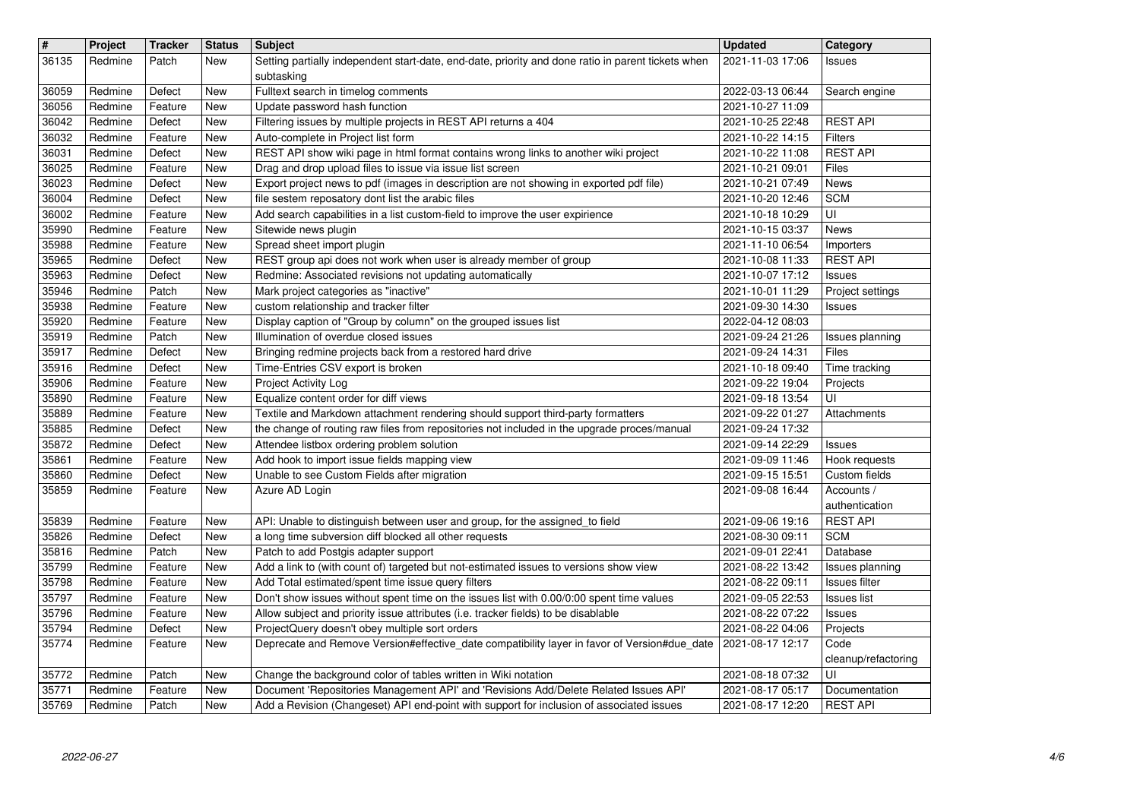| $\vert$ #      | Project            | <b>Tracker</b>     | <b>Status</b>     | <b>Subject</b>                                                                                                                                                                   | <b>Updated</b>                       | Category                         |
|----------------|--------------------|--------------------|-------------------|----------------------------------------------------------------------------------------------------------------------------------------------------------------------------------|--------------------------------------|----------------------------------|
| 36135          | Redmine            | Patch              | New               | Setting partially independent start-date, end-date, priority and done ratio in parent tickets when                                                                               | 2021-11-03 17:06                     | Issues                           |
| 36059          | Redmine            | Defect             | <b>New</b>        | subtasking<br>Fulltext search in timelog comments                                                                                                                                | 2022-03-13 06:44                     | Search engine                    |
| 36056          | Redmine            | Feature            | New               | Update password hash function                                                                                                                                                    | 2021-10-27 11:09                     |                                  |
| 36042          | Redmine            | Defect             | New               | Filtering issues by multiple projects in REST API returns a 404                                                                                                                  | 2021-10-25 22:48                     | <b>REST API</b>                  |
| 36032          | Redmine            | Feature            | New               | Auto-complete in Project list form                                                                                                                                               | 2021-10-22 14:15                     | <b>Filters</b>                   |
| 36031<br>36025 | Redmine<br>Redmine | Defect<br>Feature  | New<br>New        | REST API show wiki page in html format contains wrong links to another wiki project<br>Drag and drop upload files to issue via issue list screen                                 | 2021-10-22 11:08<br>2021-10-21 09:01 | <b>REST API</b><br>Files         |
| 36023          | Redmine            | Defect             | New               | Export project news to pdf (images in description are not showing in exported pdf file)                                                                                          | 2021-10-21 07:49                     | <b>News</b>                      |
| 36004          | Redmine            | Defect             | New               | file sestem reposatory dont list the arabic files                                                                                                                                | 2021-10-20 12:46                     | <b>SCM</b>                       |
| 36002<br>35990 | Redmine<br>Redmine | Feature<br>Feature | New<br>New        | Add search capabilities in a list custom-field to improve the user expirience<br>Sitewide news plugin                                                                            | 2021-10-18 10:29<br>2021-10-15 03:37 | UI<br><b>News</b>                |
| 35988          | Redmine            | Feature            | New               | Spread sheet import plugin                                                                                                                                                       | 2021-11-10 06:54                     | Importers                        |
| 35965          | Redmine            | Defect             | New               | REST group api does not work when user is already member of group                                                                                                                | 2021-10-08 11:33                     | <b>REST API</b>                  |
| 35963<br>35946 | Redmine<br>Redmine | Defect<br>Patch    | New<br>New        | Redmine: Associated revisions not updating automatically<br>Mark project categories as "inactive"                                                                                | 2021-10-07 17:12<br>2021-10-01 11:29 | Issues<br>Project settings       |
| 35938          | Redmine            | Feature            | New               | custom relationship and tracker filter                                                                                                                                           | 2021-09-30 14:30                     | Issues                           |
| 35920          | Redmine            | Feature            | New               | Display caption of "Group by column" on the grouped issues list                                                                                                                  | 2022-04-12 08:03                     |                                  |
| 35919<br>35917 | Redmine<br>Redmine | Patch<br>Defect    | New<br><b>New</b> | Illumination of overdue closed issues<br>Bringing redmine projects back from a restored hard drive                                                                               | 2021-09-24 21:26<br>2021-09-24 14:31 | Issues planning<br>Files         |
| 35916          | Redmine            | Defect             | New               | Time-Entries CSV export is broken                                                                                                                                                | 2021-10-18 09:40                     | Time tracking                    |
| 35906          | Redmine            | Feature            | New               | Project Activity Log                                                                                                                                                             | 2021-09-22 19:04                     | Projects                         |
| 35890<br>35889 | Redmine<br>Redmine | Feature<br>Feature | New<br>New        | Equalize content order for diff views<br>Textile and Markdown attachment rendering should support third-party formatters                                                         | 2021-09-18 13:54<br>2021-09-22 01:27 | UI<br>Attachments                |
| 35885          | Redmine            | Defect             | New               | the change of routing raw files from repositories not included in the upgrade proces/manual                                                                                      | 2021-09-24 17:32                     |                                  |
| 35872          | Redmine            | Defect             | New               | Attendee listbox ordering problem solution                                                                                                                                       | 2021-09-14 22:29                     | Issues                           |
| 35861          | Redmine            | Feature            | New               | Add hook to import issue fields mapping view                                                                                                                                     | 2021-09-09 11:46                     | Hook requests                    |
| 35860<br>35859 | Redmine<br>Redmine | Defect<br>Feature  | New<br>New        | Unable to see Custom Fields after migration<br>Azure AD Login                                                                                                                    | 2021-09-15 15:51<br>2021-09-08 16:44 | Custom fields<br>Accounts /      |
|                |                    |                    |                   |                                                                                                                                                                                  |                                      | authentication                   |
| 35839          | Redmine            | Feature            | <b>New</b>        | API: Unable to distinguish between user and group, for the assigned_to field                                                                                                     | 2021-09-06 19:16                     | <b>REST API</b>                  |
| 35826<br>35816 | Redmine<br>Redmine | Defect<br>Patch    | New<br>New        | a long time subversion diff blocked all other requests<br>Patch to add Postgis adapter support                                                                                   | 2021-08-30 09:11<br>2021-09-01 22:41 | <b>SCM</b><br>Database           |
| 35799          | Redmine            | Feature            | New               | Add a link to (with count of) targeted but not-estimated issues to versions show view                                                                                            | 2021-08-22 13:42                     | Issues planning                  |
| 35798          | Redmine            | Feature            | New               | Add Total estimated/spent time issue query filters                                                                                                                               | 2021-08-22 09:11                     | Issues filter                    |
| 35797<br>35796 | Redmine<br>Redmine | Feature<br>Feature | New<br>New        | Don't show issues without spent time on the issues list with 0.00/0:00 spent time values<br>Allow subject and priority issue attributes (i.e. tracker fields) to be disablable   | 2021-09-05 22:53<br>2021-08-22 07:22 | <b>Issues list</b><br>Issues     |
| 35794          | Redmine            | Defect             | New               | ProjectQuery doesn't obey multiple sort orders                                                                                                                                   | 2021-08-22 04:06                     | Projects                         |
| 35774          | Redmine            | Feature            | New               | Deprecate and Remove Version#effective_date compatibility layer in favor of Version#due_date 2021-08-17 12:17                                                                    |                                      | Code<br>cleanup/refactoring      |
| 35772          | Redmine            | Patch              | New               | Change the background color of tables written in Wiki notation                                                                                                                   | 2021-08-18 07:32                     | UI                               |
| 35771<br>35769 | Redmine<br>Redmine | Feature<br>Patch   | New<br>New        | Document 'Repositories Management API' and 'Revisions Add/Delete Related Issues API'<br>Add a Revision (Changeset) API end-point with support for inclusion of associated issues | 2021-08-17 05:17<br>2021-08-17 12:20 | Documentation<br><b>REST API</b> |
|                |                    |                    |                   |                                                                                                                                                                                  |                                      |                                  |
|                |                    |                    |                   |                                                                                                                                                                                  |                                      |                                  |
|                |                    |                    |                   |                                                                                                                                                                                  |                                      |                                  |
|                |                    |                    |                   |                                                                                                                                                                                  |                                      |                                  |
|                |                    |                    |                   |                                                                                                                                                                                  |                                      |                                  |
|                |                    |                    |                   |                                                                                                                                                                                  |                                      |                                  |
|                |                    |                    |                   |                                                                                                                                                                                  |                                      |                                  |
|                |                    |                    |                   |                                                                                                                                                                                  |                                      |                                  |
|                |                    |                    |                   |                                                                                                                                                                                  |                                      |                                  |
|                |                    |                    |                   |                                                                                                                                                                                  |                                      |                                  |
|                |                    |                    |                   |                                                                                                                                                                                  |                                      |                                  |
|                |                    |                    |                   |                                                                                                                                                                                  |                                      |                                  |
|                |                    |                    |                   |                                                                                                                                                                                  |                                      |                                  |
|                |                    |                    |                   |                                                                                                                                                                                  |                                      |                                  |
|                |                    |                    |                   |                                                                                                                                                                                  |                                      |                                  |
|                |                    |                    |                   |                                                                                                                                                                                  |                                      |                                  |
|                |                    |                    |                   |                                                                                                                                                                                  |                                      |                                  |
|                |                    |                    |                   |                                                                                                                                                                                  |                                      |                                  |
|                |                    |                    |                   |                                                                                                                                                                                  |                                      |                                  |
|                |                    |                    |                   |                                                                                                                                                                                  |                                      |                                  |
|                |                    |                    |                   |                                                                                                                                                                                  |                                      |                                  |
|                |                    |                    |                   |                                                                                                                                                                                  |                                      |                                  |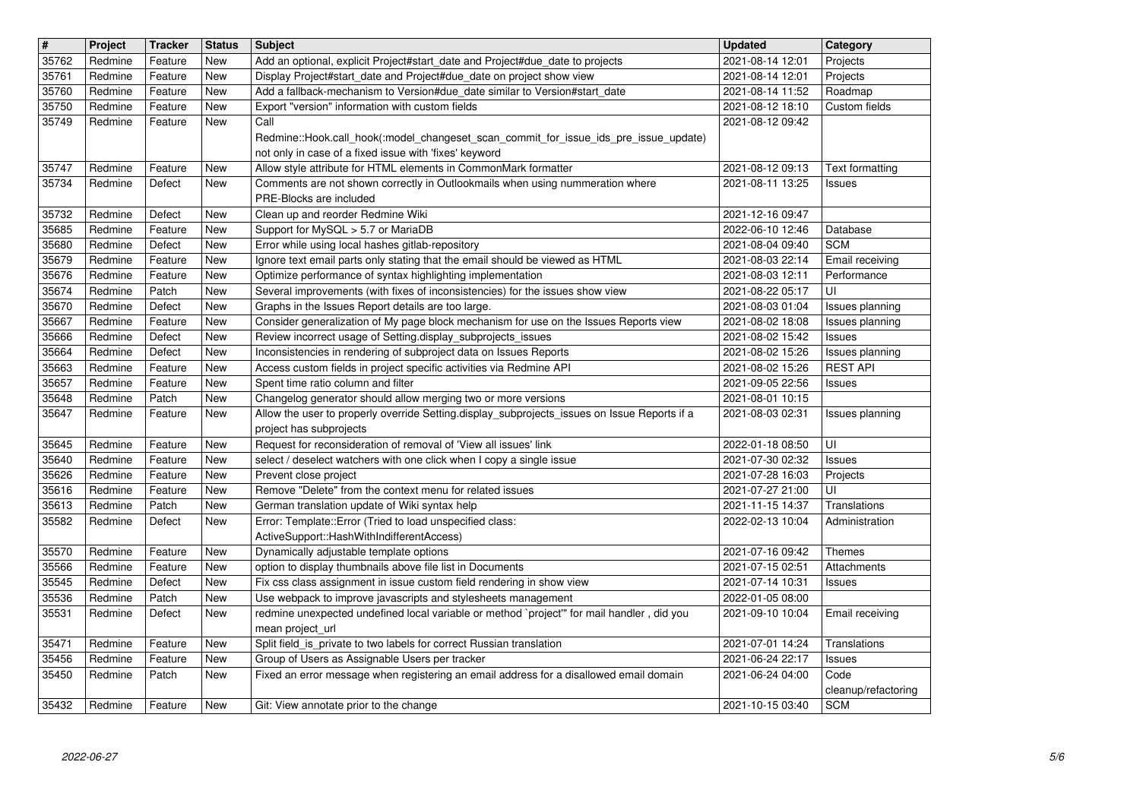| $\vert$ #      | Project            | <b>Tracker</b>     | <b>Status</b> | <b>Subject</b>                                                                                                                                                                                             | <b>Updated</b>                       | Category                          |
|----------------|--------------------|--------------------|---------------|------------------------------------------------------------------------------------------------------------------------------------------------------------------------------------------------------------|--------------------------------------|-----------------------------------|
| 35762          | Redmine            | Feature            | New           | Add an optional, explicit Project#start_date and Project#due_date to projects                                                                                                                              | 2021-08-14 12:01                     | Projects                          |
| 35761          | Redmine            | Feature            | New           | Display Project#start_date and Project#due_date on project show view                                                                                                                                       | 2021-08-14 12:01                     | Projects                          |
| 35760<br>35750 | Redmine<br>Redmine | Feature<br>Feature | New<br>New    | Add a fallback-mechanism to Version#due_date similar to Version#start_date<br>Export "version" information with custom fields                                                                              | 2021-08-14 11:52<br>2021-08-12 18:10 | Roadmap<br>Custom fields          |
| 35749          | Redmine            | Feature            | New           | Call<br>Redmine::Hook.call_hook(:model_changeset_scan_commit_for_issue_ids_pre_issue_update)                                                                                                               | 2021-08-12 09:42                     |                                   |
| 35747<br>35734 | Redmine<br>Redmine | Feature<br>Defect  | New<br>New    | not only in case of a fixed issue with 'fixes' keyword<br>Allow style attribute for HTML elements in CommonMark formatter<br>Comments are not shown correctly in Outlookmails when using nummeration where | 2021-08-12 09:13<br>2021-08-11 13:25 | Text formatting<br><b>Issues</b>  |
| 35732          | Redmine            | Defect             | New           | PRE-Blocks are included<br>Clean up and reorder Redmine Wiki                                                                                                                                               | 2021-12-16 09:47                     |                                   |
| 35685          | Redmine            | Feature            | New           | Support for MySQL > 5.7 or MariaDB                                                                                                                                                                         | 2022-06-10 12:46                     | Database<br><b>SCM</b>            |
| 35680<br>35679 | Redmine<br>Redmine | Defect<br>Feature  | New<br>New    | Error while using local hashes gitlab-repository<br>Ignore text email parts only stating that the email should be viewed as HTML                                                                           | 2021-08-04 09:40<br>2021-08-03 22:14 | Email receiving                   |
| 35676          | Redmine            | Feature            | New           | Optimize performance of syntax highlighting implementation                                                                                                                                                 | 2021-08-03 12:11                     | Performance                       |
| 35674          | Redmine            | Patch              | New           | Several improvements (with fixes of inconsistencies) for the issues show view                                                                                                                              | 2021-08-22 05:17                     | UI                                |
| 35670          | Redmine            | Defect             | New           | Graphs in the Issues Report details are too large.<br>Consider generalization of My page block mechanism for use on the Issues Reports view                                                                | 2021-08-03 01:04                     | Issues planning                   |
| 35667<br>35666 | Redmine<br>Redmine | Feature<br>Defect  | New<br>New    | Review incorrect usage of Setting.display_subprojects_issues                                                                                                                                               | 2021-08-02 18:08<br>2021-08-02 15:42 | Issues planning<br><b>Issues</b>  |
| 35664          | Redmine            | Defect             | New           | Inconsistencies in rendering of subproject data on Issues Reports                                                                                                                                          | 2021-08-02 15:26                     | Issues planning                   |
| 35663          | Redmine            | Feature            | New           | Access custom fields in project specific activities via Redmine API                                                                                                                                        | 2021-08-02 15:26                     | <b>REST API</b>                   |
| 35657<br>35648 | Redmine<br>Redmine | Feature<br>Patch   | New<br>New    | Spent time ratio column and filter<br>Changelog generator should allow merging two or more versions                                                                                                        | 2021-09-05 22:56<br>2021-08-01 10:15 | <b>Issues</b>                     |
| 35647          | Redmine            | Feature            | New           | Allow the user to properly override Setting.display_subprojects_issues on Issue Reports if a                                                                                                               | 2021-08-03 02:31                     | Issues planning                   |
| 35645          | Redmine            | Feature            | New           | project has subprojects<br>Request for reconsideration of removal of 'View all issues' link                                                                                                                | 2022-01-18 08:50                     | UI                                |
| 35640          | Redmine            | Feature            | New           | select / deselect watchers with one click when I copy a single issue                                                                                                                                       | 2021-07-30 02:32                     | <b>Issues</b>                     |
| 35626          | Redmine            | Feature            | New           | Prevent close project                                                                                                                                                                                      | 2021-07-28 16:03                     | Projects                          |
| 35616<br>35613 | Redmine<br>Redmine | Feature<br>Patch   | New           | Remove "Delete" from the context menu for related issues                                                                                                                                                   | 2021-07-27 21:00<br>2021-11-15 14:37 | UI<br>Translations                |
| 35582          | Redmine            | Defect             | New<br>New    | German translation update of Wiki syntax help<br>Error: Template::Error (Tried to load unspecified class:                                                                                                  | 2022-02-13 10:04                     | Administration                    |
|                |                    |                    |               | ActiveSupport::HashWithIndifferentAccess)                                                                                                                                                                  |                                      |                                   |
| 35570          | Redmine            | Feature            | New           | Dynamically adjustable template options                                                                                                                                                                    | 2021-07-16 09:42                     | Themes                            |
| 35566<br>35545 | Redmine<br>Redmine | Feature<br>Defect  | New<br>New    | option to display thumbnails above file list in Documents<br>Fix css class assignment in issue custom field rendering in show view                                                                         | 2021-07-15 02:51<br>2021-07-14 10:31 | Attachments<br><b>Issues</b>      |
| 35536          | Redmine            | Patch              | New           | Use webpack to improve javascripts and stylesheets management                                                                                                                                              | 2022-01-05 08:00                     |                                   |
| 35531          | Redmine            | Defect             | New           | redmine unexpected undefined local variable or method `project" for mail handler, did you                                                                                                                  | 2021-09-10 10:04                     | Email receiving                   |
| 35471          | Redmine            | Feature            | <b>New</b>    | mean project url<br>Split field_is_private to two labels for correct Russian translation                                                                                                                   | 2021-07-01 14:24                     | Translations                      |
| 35456          | Redmine            | Feature            | <b>New</b>    | Group of Users as Assignable Users per tracker                                                                                                                                                             | 2021-06-24 22:17                     | <b>Issues</b>                     |
| 35450          | Redmine            | Patch              | New           | Fixed an error message when registering an email address for a disallowed email domain                                                                                                                     | 2021-06-24 04:00                     | Code                              |
| 35432          | Redmine            | Feature            | New           | Git: View annotate prior to the change                                                                                                                                                                     | 2021-10-15 03:40                     | cleanup/refactoring<br><b>SCM</b> |
|                |                    |                    |               |                                                                                                                                                                                                            |                                      |                                   |
|                |                    |                    |               |                                                                                                                                                                                                            |                                      |                                   |
|                |                    |                    |               |                                                                                                                                                                                                            |                                      |                                   |
|                |                    |                    |               |                                                                                                                                                                                                            |                                      |                                   |
|                |                    |                    |               |                                                                                                                                                                                                            |                                      |                                   |
|                |                    |                    |               |                                                                                                                                                                                                            |                                      |                                   |
|                |                    |                    |               |                                                                                                                                                                                                            |                                      |                                   |
|                |                    |                    |               |                                                                                                                                                                                                            |                                      |                                   |
|                |                    |                    |               |                                                                                                                                                                                                            |                                      |                                   |
|                |                    |                    |               |                                                                                                                                                                                                            |                                      |                                   |
|                |                    |                    |               |                                                                                                                                                                                                            |                                      |                                   |
|                |                    |                    |               |                                                                                                                                                                                                            |                                      |                                   |
|                |                    |                    |               |                                                                                                                                                                                                            |                                      |                                   |
|                |                    |                    |               |                                                                                                                                                                                                            |                                      |                                   |
|                |                    |                    |               |                                                                                                                                                                                                            |                                      |                                   |
|                |                    |                    |               |                                                                                                                                                                                                            |                                      |                                   |
|                |                    |                    |               |                                                                                                                                                                                                            |                                      |                                   |
|                |                    |                    |               |                                                                                                                                                                                                            |                                      |                                   |